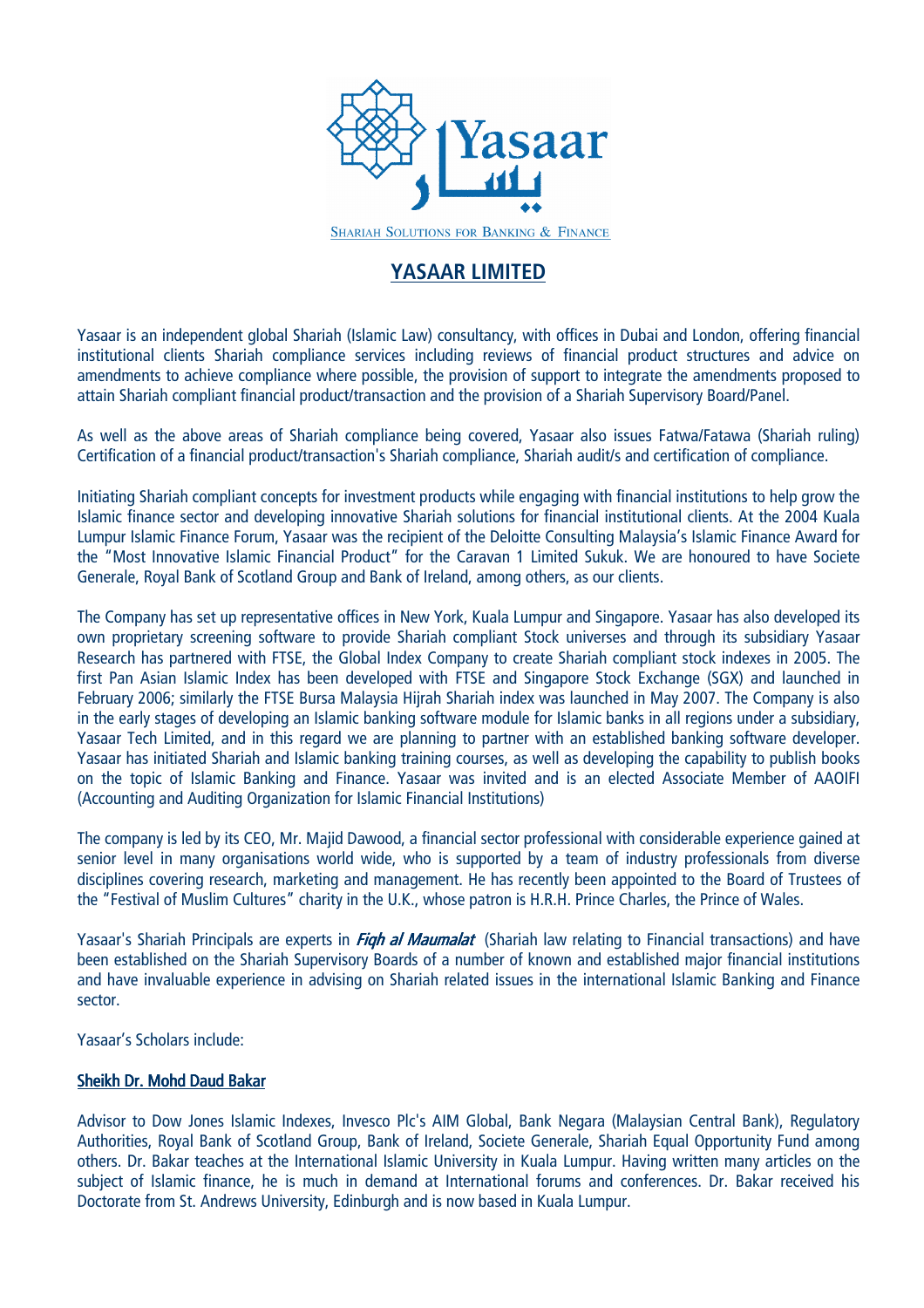

# YASAAR LIMITED

Yasaar is an independent global Shariah (Islamic Law) consultancy, with offices in Dubai and London, offering financial institutional clients Shariah compliance services including reviews of financial product structures and advice on amendments to achieve compliance where possible, the provision of support to integrate the amendments proposed to attain Shariah compliant financial product/transaction and the provision of a Shariah Supervisory Board/Panel.

As well as the above areas of Shariah compliance being covered, Yasaar also issues Fatwa/Fatawa (Shariah ruling) Certification of a financial product/transaction's Shariah compliance, Shariah audit/s and certification of compliance.

Initiating Shariah compliant concepts for investment products while engaging with financial institutions to help grow the Islamic finance sector and developing innovative Shariah solutions for financial institutional clients. At the 2004 Kuala Lumpur Islamic Finance Forum, Yasaar was the recipient of the Deloitte Consulting Malaysia's Islamic Finance Award for the "Most Innovative Islamic Financial Product" for the Caravan 1 Limited Sukuk. We are honoured to have Societe Generale, Royal Bank of Scotland Group and Bank of Ireland, among others, as our clients.

The Company has set up representative offices in New York, Kuala Lumpur and Singapore. Yasaar has also developed its own proprietary screening software to provide Shariah compliant Stock universes and through its subsidiary Yasaar Research has partnered with FTSE, the Global Index Company to create Shariah compliant stock indexes in 2005. The first Pan Asian Islamic Index has been developed with FTSE and Singapore Stock Exchange (SGX) and launched in February 2006; similarly the FTSE Bursa Malaysia Hijrah Shariah index was launched in May 2007. The Company is also in the early stages of developing an Islamic banking software module for Islamic banks in all regions under a subsidiary, Yasaar Tech Limited, and in this regard we are planning to partner with an established banking software developer. Yasaar has initiated Shariah and Islamic banking training courses, as well as developing the capability to publish books on the topic of Islamic Banking and Finance. Yasaar was invited and is an elected Associate Member of AAOIFI (Accounting and Auditing Organization for Islamic Financial Institutions)

The company is led by its CEO, Mr. Majid Dawood, a financial sector professional with considerable experience gained at senior level in many organisations world wide, who is supported by a team of industry professionals from diverse disciplines covering research, marketing and management. He has recently been appointed to the Board of Trustees of the "Festival of Muslim Cultures" charity in the U.K., whose patron is H.R.H. Prince Charles, the Prince of Wales.

Yasaar's Shariah Principals are experts in *Figh al Maumalat* (Shariah law relating to Financial transactions) and have been established on the Shariah Supervisory Boards of a number of known and established major financial institutions and have invaluable experience in advising on Shariah related issues in the international Islamic Banking and Finance sector.

Yasaar's Scholars include:

#### Sheikh Dr. Mohd Daud Bakar

Advisor to Dow Jones Islamic Indexes, Invesco Plc's AIM Global, Bank Negara (Malaysian Central Bank), Regulatory Authorities, Royal Bank of Scotland Group, Bank of Ireland, Societe Generale, Shariah Equal Opportunity Fund among others. Dr. Bakar teaches at the International Islamic University in Kuala Lumpur. Having written many articles on the subject of Islamic finance, he is much in demand at International forums and conferences. Dr. Bakar received his Doctorate from St. Andrews University, Edinburgh and is now based in Kuala Lumpur.